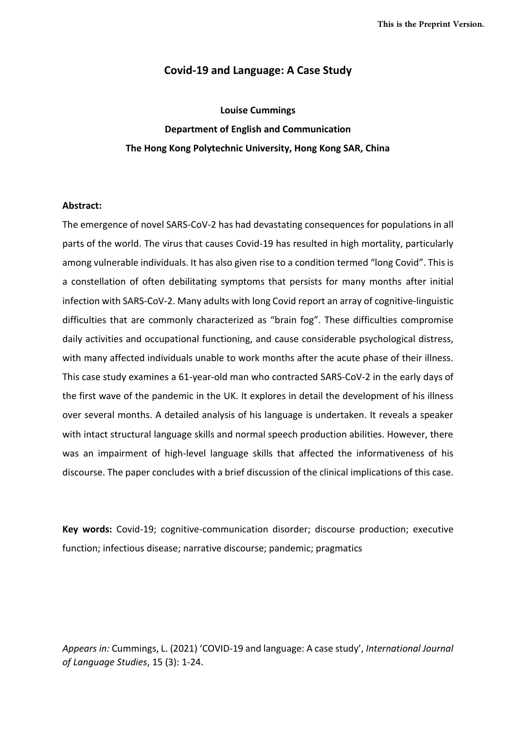### **Covid-19 and Language: A Case Study**

**Louise Cummings Department of English and Communication The Hong Kong Polytechnic University, Hong Kong SAR, China**

#### **Abstract:**

The emergence of novel SARS-CoV-2 has had devastating consequences for populations in all parts of the world. The virus that causes Covid-19 has resulted in high mortality, particularly among vulnerable individuals. It has also given rise to a condition termed "long Covid". This is a constellation of often debilitating symptoms that persists for many months after initial infection with SARS-CoV-2. Many adults with long Covid report an array of cognitive-linguistic difficulties that are commonly characterized as "brain fog". These difficulties compromise daily activities and occupational functioning, and cause considerable psychological distress, with many affected individuals unable to work months after the acute phase of their illness. This case study examines a 61-year-old man who contracted SARS-CoV-2 in the early days of the first wave of the pandemic in the UK. It explores in detail the development of his illness over several months. A detailed analysis of his language is undertaken. It reveals a speaker with intact structural language skills and normal speech production abilities. However, there was an impairment of high-level language skills that affected the informativeness of his discourse. The paper concludes with a brief discussion of the clinical implications of this case.

**Key words:** Covid-19; cognitive-communication disorder; discourse production; executive function; infectious disease; narrative discourse; pandemic; pragmatics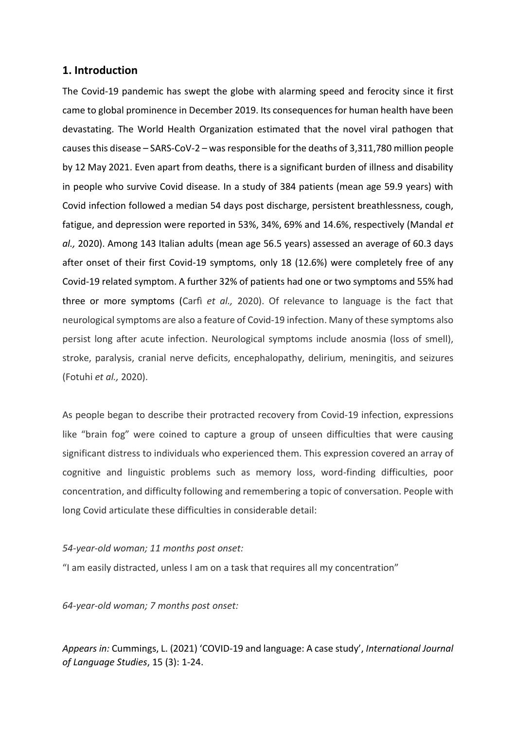### **1. Introduction**

The Covid-19 pandemic has swept the globe with alarming speed and ferocity since it first came to global prominence in December 2019. Its consequences for human health have been devastating. The World Health Organization estimated that the novel viral pathogen that causes this disease – SARS-CoV-2 – was responsible for the deaths of 3,311,780 million people by 12 May 2021. Even apart from deaths, there is a significant burden of illness and disability in people who survive Covid disease. In a study of 384 patients (mean age 59.9 years) with Covid infection followed a median 54 days post discharge, persistent breathlessness, cough, fatigue, and depression were reported in 53%, 34%, 69% and 14.6%, respectively (Mandal *et al.,* 2020). Among 143 Italian adults (mean age 56.5 years) assessed an average of 60.3 days after onset of their first Covid-19 symptoms, only 18 (12.6%) were completely free of any Covid-19 related symptom. A further 32% of patients had one or two symptoms and 55% had three or more symptoms (Carfì *et al.,* 2020). Of relevance to language is the fact that neurological symptoms are also a feature of Covid-19 infection. Many of these symptoms also persist long after acute infection. Neurological symptoms include anosmia (loss of smell), stroke, paralysis, cranial nerve deficits, encephalopathy, delirium, meningitis, and seizures (Fotuhi *et al.,* 2020).

As people began to describe their protracted recovery from Covid-19 infection, expressions like "brain fog" were coined to capture a group of unseen difficulties that were causing significant distress to individuals who experienced them. This expression covered an array of cognitive and linguistic problems such as memory loss, word-finding difficulties, poor concentration, and difficulty following and remembering a topic of conversation. People with long Covid articulate these difficulties in considerable detail:

#### *54-year-old woman; 11 months post onset:*

"I am easily distracted, unless I am on a task that requires all my concentration"

*64-year-old woman; 7 months post onset:*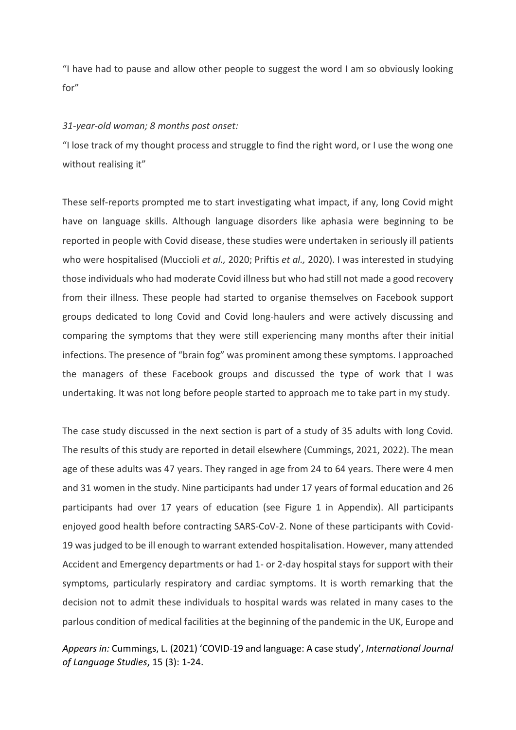"I have had to pause and allow other people to suggest the word I am so obviously looking for"

#### *31-year-old woman; 8 months post onset:*

"I lose track of my thought process and struggle to find the right word, or I use the wong one without realising it"

These self-reports prompted me to start investigating what impact, if any, long Covid might have on language skills. Although language disorders like aphasia were beginning to be reported in people with Covid disease, these studies were undertaken in seriously ill patients who were hospitalised (Muccioli *et al.,* 2020; Priftis *et al.,* 2020). I was interested in studying those individuals who had moderate Covid illness but who had still not made a good recovery from their illness. These people had started to organise themselves on Facebook support groups dedicated to long Covid and Covid long-haulers and were actively discussing and comparing the symptoms that they were still experiencing many months after their initial infections. The presence of "brain fog" was prominent among these symptoms. I approached the managers of these Facebook groups and discussed the type of work that I was undertaking. It was not long before people started to approach me to take part in my study.

The case study discussed in the next section is part of a study of 35 adults with long Covid. The results of this study are reported in detail elsewhere (Cummings, 2021, 2022). The mean age of these adults was 47 years. They ranged in age from 24 to 64 years. There were 4 men and 31 women in the study. Nine participants had under 17 years of formal education and 26 participants had over 17 years of education (see Figure 1 in Appendix). All participants enjoyed good health before contracting SARS-CoV-2. None of these participants with Covid-19 was judged to be ill enough to warrant extended hospitalisation. However, many attended Accident and Emergency departments or had 1- or 2-day hospital stays for support with their symptoms, particularly respiratory and cardiac symptoms. It is worth remarking that the decision not to admit these individuals to hospital wards was related in many cases to the parlous condition of medical facilities at the beginning of the pandemic in the UK, Europe and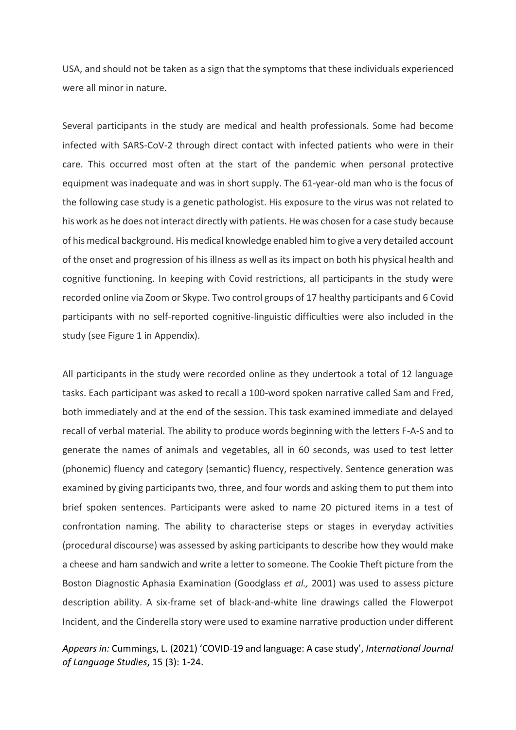USA, and should not be taken as a sign that the symptoms that these individuals experienced were all minor in nature.

Several participants in the study are medical and health professionals. Some had become infected with SARS-CoV-2 through direct contact with infected patients who were in their care. This occurred most often at the start of the pandemic when personal protective equipment was inadequate and was in short supply. The 61-year-old man who is the focus of the following case study is a genetic pathologist. His exposure to the virus was not related to his work as he does not interact directly with patients. He was chosen for a case study because of his medical background. His medical knowledge enabled him to give a very detailed account of the onset and progression of his illness as well as its impact on both his physical health and cognitive functioning. In keeping with Covid restrictions, all participants in the study were recorded online via Zoom or Skype. Two control groups of 17 healthy participants and 6 Covid participants with no self-reported cognitive-linguistic difficulties were also included in the study (see Figure 1 in Appendix).

All participants in the study were recorded online as they undertook a total of 12 language tasks. Each participant was asked to recall a 100-word spoken narrative called Sam and Fred, both immediately and at the end of the session. This task examined immediate and delayed recall of verbal material. The ability to produce words beginning with the letters F-A-S and to generate the names of animals and vegetables, all in 60 seconds, was used to test letter (phonemic) fluency and category (semantic) fluency, respectively. Sentence generation was examined by giving participants two, three, and four words and asking them to put them into brief spoken sentences. Participants were asked to name 20 pictured items in a test of confrontation naming. The ability to characterise steps or stages in everyday activities (procedural discourse) was assessed by asking participants to describe how they would make a cheese and ham sandwich and write a letter to someone. The Cookie Theft picture from the Boston Diagnostic Aphasia Examination (Goodglass *et al.,* 2001) was used to assess picture description ability. A six-frame set of black-and-white line drawings called the Flowerpot Incident, and the Cinderella story were used to examine narrative production under different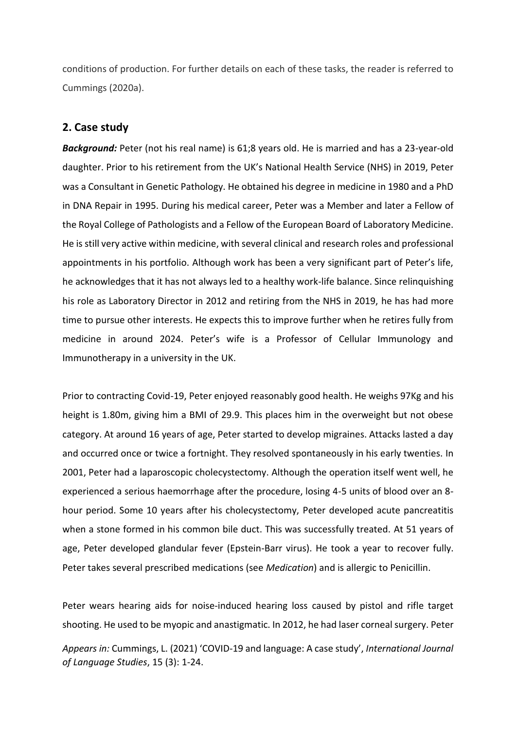conditions of production. For further details on each of these tasks, the reader is referred to Cummings (2020a).

## **2. Case study**

**Background:** Peter (not his real name) is 61:8 years old. He is married and has a 23-year-old daughter. Prior to his retirement from the UK's National Health Service (NHS) in 2019, Peter was a Consultant in Genetic Pathology. He obtained his degree in medicine in 1980 and a PhD in DNA Repair in 1995. During his medical career, Peter was a Member and later a Fellow of the Royal College of Pathologists and a Fellow of the European Board of Laboratory Medicine. He is still very active within medicine, with several clinical and research roles and professional appointments in his portfolio. Although work has been a very significant part of Peter's life, he acknowledges that it has not always led to a healthy work-life balance. Since relinquishing his role as Laboratory Director in 2012 and retiring from the NHS in 2019, he has had more time to pursue other interests. He expects this to improve further when he retires fully from medicine in around 2024. Peter's wife is a Professor of Cellular Immunology and Immunotherapy in a university in the UK.

Prior to contracting Covid-19, Peter enjoyed reasonably good health. He weighs 97Kg and his height is 1.80m, giving him a BMI of 29.9. This places him in the overweight but not obese category. At around 16 years of age, Peter started to develop migraines. Attacks lasted a day and occurred once or twice a fortnight. They resolved spontaneously in his early twenties. In 2001, Peter had a laparoscopic cholecystectomy. Although the operation itself went well, he experienced a serious haemorrhage after the procedure, losing 4-5 units of blood over an 8 hour period. Some 10 years after his cholecystectomy, Peter developed acute pancreatitis when a stone formed in his common bile duct. This was successfully treated. At 51 years of age, Peter developed glandular fever (Epstein-Barr virus). He took a year to recover fully. Peter takes several prescribed medications (see *Medication*) and is allergic to Penicillin.

Peter wears hearing aids for noise-induced hearing loss caused by pistol and rifle target shooting. He used to be myopic and anastigmatic. In 2012, he had laser corneal surgery. Peter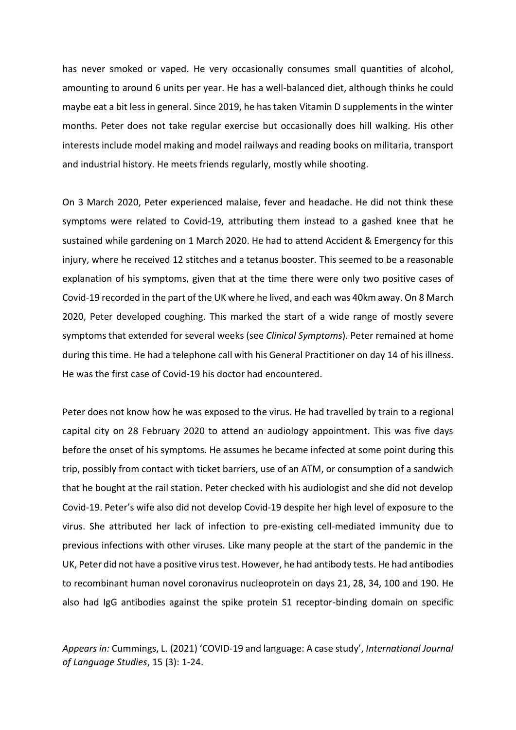has never smoked or vaped. He very occasionally consumes small quantities of alcohol, amounting to around 6 units per year. He has a well-balanced diet, although thinks he could maybe eat a bit less in general. Since 2019, he has taken Vitamin D supplements in the winter months. Peter does not take regular exercise but occasionally does hill walking. His other interests include model making and model railways and reading books on militaria, transport and industrial history. He meets friends regularly, mostly while shooting.

On 3 March 2020, Peter experienced malaise, fever and headache. He did not think these symptoms were related to Covid-19, attributing them instead to a gashed knee that he sustained while gardening on 1 March 2020. He had to attend Accident & Emergency for this injury, where he received 12 stitches and a tetanus booster. This seemed to be a reasonable explanation of his symptoms, given that at the time there were only two positive cases of Covid-19 recorded in the part of the UK where he lived, and each was 40km away. On 8 March 2020, Peter developed coughing. This marked the start of a wide range of mostly severe symptoms that extended for several weeks (see *Clinical Symptoms*). Peter remained at home during this time. He had a telephone call with his General Practitioner on day 14 of his illness. He was the first case of Covid-19 his doctor had encountered.

Peter does not know how he was exposed to the virus. He had travelled by train to a regional capital city on 28 February 2020 to attend an audiology appointment. This was five days before the onset of his symptoms. He assumes he became infected at some point during this trip, possibly from contact with ticket barriers, use of an ATM, or consumption of a sandwich that he bought at the rail station. Peter checked with his audiologist and she did not develop Covid-19. Peter's wife also did not develop Covid-19 despite her high level of exposure to the virus. She attributed her lack of infection to pre-existing cell-mediated immunity due to previous infections with other viruses. Like many people at the start of the pandemic in the UK, Peter did not have a positive virus test. However, he had antibody tests. He had antibodies to recombinant human novel coronavirus nucleoprotein on days 21, 28, 34, 100 and 190. He also had IgG antibodies against the spike protein S1 receptor-binding domain on specific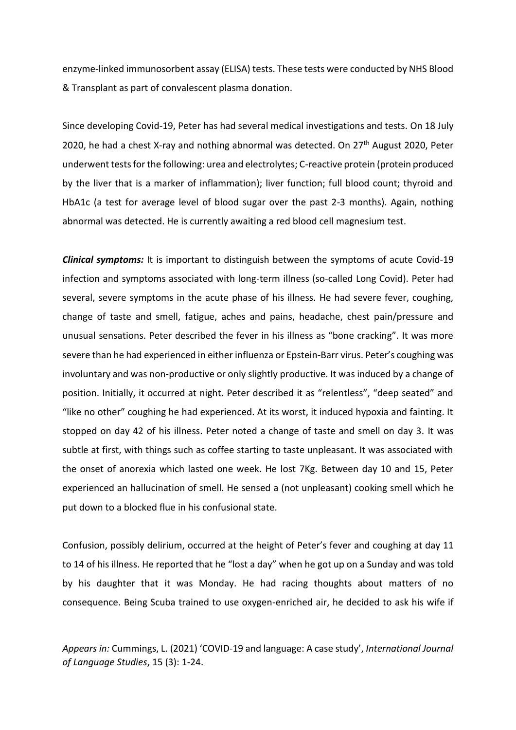enzyme-linked immunosorbent assay (ELISA) tests. These tests were conducted by NHS Blood & Transplant as part of convalescent plasma donation.

Since developing Covid-19, Peter has had several medical investigations and tests. On 18 July 2020, he had a chest X-ray and nothing abnormal was detected. On  $27<sup>th</sup>$  August 2020, Peter underwent tests for the following: urea and electrolytes; C-reactive protein (protein produced by the liver that is a marker of inflammation); liver function; full blood count; thyroid and HbA1c (a test for average level of blood sugar over the past 2-3 months). Again, nothing abnormal was detected. He is currently awaiting a red blood cell magnesium test.

*Clinical symptoms:* It is important to distinguish between the symptoms of acute Covid-19 infection and symptoms associated with long-term illness (so-called Long Covid). Peter had several, severe symptoms in the acute phase of his illness. He had severe fever, coughing, change of taste and smell, fatigue, aches and pains, headache, chest pain/pressure and unusual sensations. Peter described the fever in his illness as "bone cracking". It was more severe than he had experienced in either influenza or Epstein-Barr virus. Peter's coughing was involuntary and was non-productive or only slightly productive. It was induced by a change of position. Initially, it occurred at night. Peter described it as "relentless", "deep seated" and "like no other" coughing he had experienced. At its worst, it induced hypoxia and fainting. It stopped on day 42 of his illness. Peter noted a change of taste and smell on day 3. It was subtle at first, with things such as coffee starting to taste unpleasant. It was associated with the onset of anorexia which lasted one week. He lost 7Kg. Between day 10 and 15, Peter experienced an hallucination of smell. He sensed a (not unpleasant) cooking smell which he put down to a blocked flue in his confusional state.

Confusion, possibly delirium, occurred at the height of Peter's fever and coughing at day 11 to 14 of his illness. He reported that he "lost a day" when he got up on a Sunday and was told by his daughter that it was Monday. He had racing thoughts about matters of no consequence. Being Scuba trained to use oxygen-enriched air, he decided to ask his wife if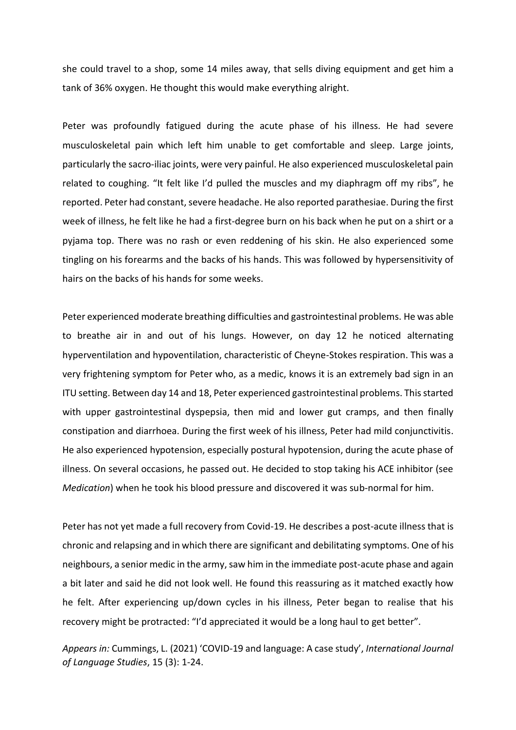she could travel to a shop, some 14 miles away, that sells diving equipment and get him a tank of 36% oxygen. He thought this would make everything alright.

Peter was profoundly fatigued during the acute phase of his illness. He had severe musculoskeletal pain which left him unable to get comfortable and sleep. Large joints, particularly the sacro-iliac joints, were very painful. He also experienced musculoskeletal pain related to coughing. "It felt like I'd pulled the muscles and my diaphragm off my ribs", he reported. Peter had constant, severe headache. He also reported parathesiae. During the first week of illness, he felt like he had a first-degree burn on his back when he put on a shirt or a pyjama top. There was no rash or even reddening of his skin. He also experienced some tingling on his forearms and the backs of his hands. This was followed by hypersensitivity of hairs on the backs of his hands for some weeks.

Peter experienced moderate breathing difficulties and gastrointestinal problems. He was able to breathe air in and out of his lungs. However, on day 12 he noticed alternating hyperventilation and hypoventilation, characteristic of Cheyne-Stokes respiration. This was a very frightening symptom for Peter who, as a medic, knows it is an extremely bad sign in an ITU setting. Between day 14 and 18, Peter experienced gastrointestinal problems. This started with upper gastrointestinal dyspepsia, then mid and lower gut cramps, and then finally constipation and diarrhoea. During the first week of his illness, Peter had mild conjunctivitis. He also experienced hypotension, especially postural hypotension, during the acute phase of illness. On several occasions, he passed out. He decided to stop taking his ACE inhibitor (see *Medication*) when he took his blood pressure and discovered it was sub-normal for him.

Peter has not yet made a full recovery from Covid-19. He describes a post-acute illness that is chronic and relapsing and in which there are significant and debilitating symptoms. One of his neighbours, a senior medic in the army, saw him in the immediate post-acute phase and again a bit later and said he did not look well. He found this reassuring as it matched exactly how he felt. After experiencing up/down cycles in his illness, Peter began to realise that his recovery might be protracted: "I'd appreciated it would be a long haul to get better".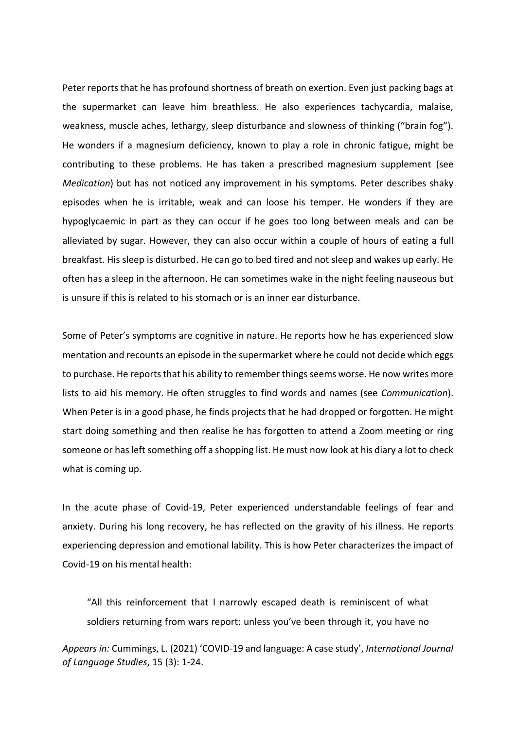Peter reports that he has profound shortness of breath on exertion. Even just packing bags at the supermarket can leave him breathless. He also experiences tachycardia, malaise, weakness, muscle aches, lethargy, sleep disturbance and slowness of thinking ("brain fog"). He wonders if a magnesium deficiency, known to play a role in chronic fatigue, might be contributing to these problems. He has taken a prescribed magnesium supplement (see *Medication*) but has not noticed any improvement in his symptoms. Peter describes shaky episodes when he is irritable, weak and can loose his temper. He wonders if they are hypoglycaemic in part as they can occur if he goes too long between meals and can be alleviated by sugar. However, they can also occur within a couple of hours of eating a full breakfast. His sleep is disturbed. He can go to bed tired and not sleep and wakes up early. He often has a sleep in the afternoon. He can sometimes wake in the night feeling nauseous but is unsure if this is related to his stomach or is an inner ear disturbance.

Some of Peter's symptoms are cognitive in nature. He reports how he has experienced slow mentation and recounts an episode in the supermarket where he could not decide which eggs to purchase. He reports that his ability to remember things seems worse. He now writes more lists to aid his memory. He often struggles to find words and names (see *Communication*). When Peter is in a good phase, he finds projects that he had dropped or forgotten. He might start doing something and then realise he has forgotten to attend a Zoom meeting or ring someone or has left something off a shopping list. He must now look at his diary a lot to check what is coming up.

In the acute phase of Covid-19, Peter experienced understandable feelings of fear and anxiety. During his long recovery, he has reflected on the gravity of his illness. He reports experiencing depression and emotional lability. This is how Peter characterizes the impact of Covid-19 on his mental health:

"All this reinforcement that I narrowly escaped death is reminiscent of what soldiers returning from wars report: unless you've been through it, you have no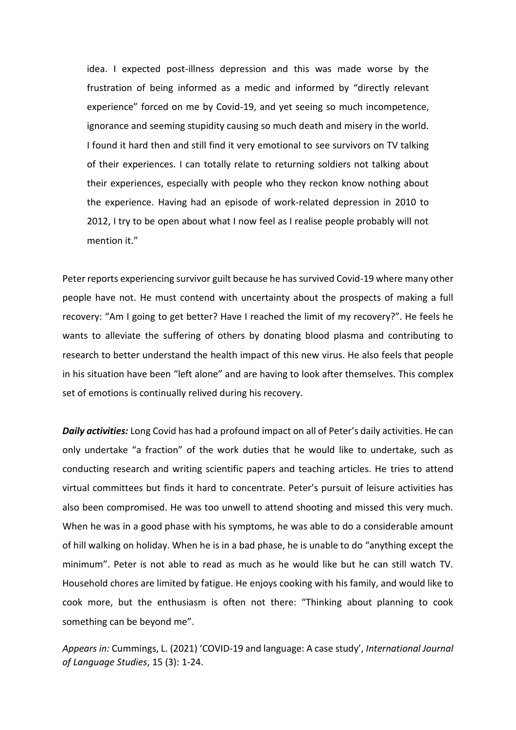idea. I expected post-illness depression and this was made worse by the frustration of being informed as a medic and informed by "directly relevant experience" forced on me by Covid-19, and yet seeing so much incompetence, ignorance and seeming stupidity causing so much death and misery in the world. I found it hard then and still find it very emotional to see survivors on TV talking of their experiences. I can totally relate to returning soldiers not talking about their experiences, especially with people who they reckon know nothing about the experience. Having had an episode of work-related depression in 2010 to 2012, I try to be open about what I now feel as I realise people probably will not mention it."

Peter reports experiencing survivor guilt because he has survived Covid-19 where many other people have not. He must contend with uncertainty about the prospects of making a full recovery: "Am I going to get better? Have I reached the limit of my recovery?". He feels he wants to alleviate the suffering of others by donating blood plasma and contributing to research to better understand the health impact of this new virus. He also feels that people in his situation have been "left alone" and are having to look after themselves. This complex set of emotions is continually relived during his recovery.

*Daily activities:* Long Covid has had a profound impact on all of Peter's daily activities. He can only undertake "a fraction" of the work duties that he would like to undertake, such as conducting research and writing scientific papers and teaching articles. He tries to attend virtual committees but finds it hard to concentrate. Peter's pursuit of leisure activities has also been compromised. He was too unwell to attend shooting and missed this very much. When he was in a good phase with his symptoms, he was able to do a considerable amount of hill walking on holiday. When he is in a bad phase, he is unable to do "anything except the minimum". Peter is not able to read as much as he would like but he can still watch TV. Household chores are limited by fatigue. He enjoys cooking with his family, and would like to cook more, but the enthusiasm is often not there: "Thinking about planning to cook something can be beyond me".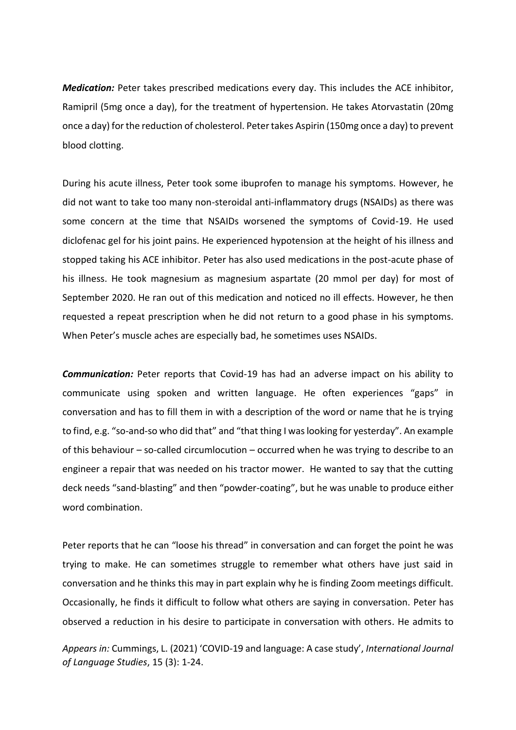*Medication:* Peter takes prescribed medications every day. This includes the ACE inhibitor, Ramipril (5mg once a day), for the treatment of hypertension. He takes Atorvastatin (20mg once a day) for the reduction of cholesterol. Peter takes Aspirin (150mg once a day) to prevent blood clotting.

During his acute illness, Peter took some ibuprofen to manage his symptoms. However, he did not want to take too many non-steroidal anti-inflammatory drugs (NSAIDs) as there was some concern at the time that NSAIDs worsened the symptoms of Covid-19. He used diclofenac gel for his joint pains. He experienced hypotension at the height of his illness and stopped taking his ACE inhibitor. Peter has also used medications in the post-acute phase of his illness. He took magnesium as magnesium aspartate (20 mmol per day) for most of September 2020. He ran out of this medication and noticed no ill effects. However, he then requested a repeat prescription when he did not return to a good phase in his symptoms. When Peter's muscle aches are especially bad, he sometimes uses NSAIDs.

*Communication:* Peter reports that Covid-19 has had an adverse impact on his ability to communicate using spoken and written language. He often experiences "gaps" in conversation and has to fill them in with a description of the word or name that he is trying to find, e.g. "so-and-so who did that" and "that thing I was looking for yesterday". An example of this behaviour – so-called circumlocution – occurred when he was trying to describe to an engineer a repair that was needed on his tractor mower. He wanted to say that the cutting deck needs "sand-blasting" and then "powder-coating", but he was unable to produce either word combination.

Peter reports that he can "loose his thread" in conversation and can forget the point he was trying to make. He can sometimes struggle to remember what others have just said in conversation and he thinks this may in part explain why he is finding Zoom meetings difficult. Occasionally, he finds it difficult to follow what others are saying in conversation. Peter has observed a reduction in his desire to participate in conversation with others. He admits to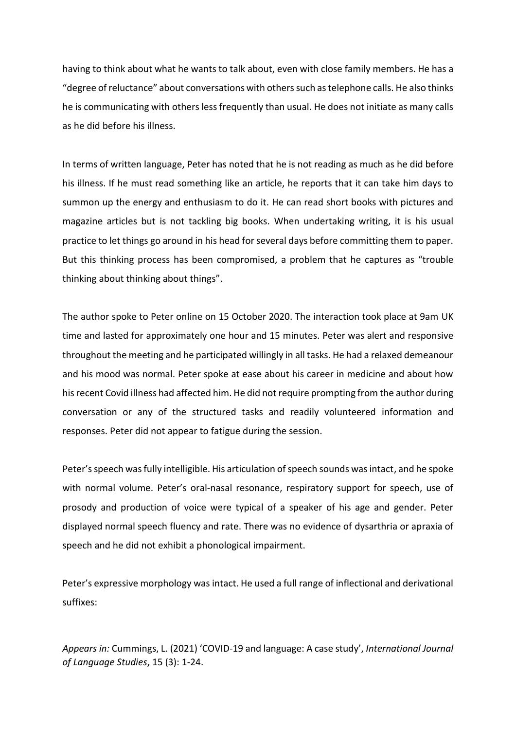having to think about what he wants to talk about, even with close family members. He has a "degree of reluctance" about conversations with others such as telephone calls. He also thinks he is communicating with others less frequently than usual. He does not initiate as many calls as he did before his illness.

In terms of written language, Peter has noted that he is not reading as much as he did before his illness. If he must read something like an article, he reports that it can take him days to summon up the energy and enthusiasm to do it. He can read short books with pictures and magazine articles but is not tackling big books. When undertaking writing, it is his usual practice to let things go around in his head for several days before committing them to paper. But this thinking process has been compromised, a problem that he captures as "trouble thinking about thinking about things".

The author spoke to Peter online on 15 October 2020. The interaction took place at 9am UK time and lasted for approximately one hour and 15 minutes. Peter was alert and responsive throughout the meeting and he participated willingly in all tasks. He had a relaxed demeanour and his mood was normal. Peter spoke at ease about his career in medicine and about how his recent Covid illness had affected him. He did not require prompting from the author during conversation or any of the structured tasks and readily volunteered information and responses. Peter did not appear to fatigue during the session.

Peter's speech was fully intelligible. His articulation of speech sounds was intact, and he spoke with normal volume. Peter's oral-nasal resonance, respiratory support for speech, use of prosody and production of voice were typical of a speaker of his age and gender. Peter displayed normal speech fluency and rate. There was no evidence of dysarthria or apraxia of speech and he did not exhibit a phonological impairment.

Peter's expressive morphology was intact. He used a full range of inflectional and derivational suffixes: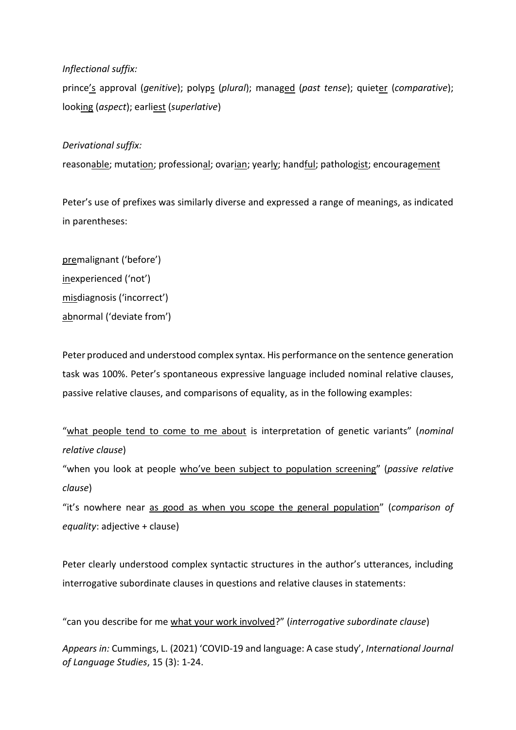## *Inflectional suffix:*

prince's approval (*genitive*); polyps (*plural*); managed (*past tense*); quieter (*comparative*); looking (*aspect*); earliest (*superlative*)

## *Derivational suffix:*

reasonable; mutation; professional; ovarian; yearly; handful; pathologist; encouragement

Peter's use of prefixes was similarly diverse and expressed a range of meanings, as indicated in parentheses:

premalignant ('before') inexperienced ('not') misdiagnosis ('incorrect') abnormal ('deviate from')

Peter produced and understood complex syntax. His performance on the sentence generation task was 100%. Peter's spontaneous expressive language included nominal relative clauses, passive relative clauses, and comparisons of equality, as in the following examples:

"what people tend to come to me about is interpretation of genetic variants" (*nominal relative clause*)

"when you look at people who've been subject to population screening" (*passive relative clause*)

"it's nowhere near as good as when you scope the general population" (*comparison of equality*: adjective + clause)

Peter clearly understood complex syntactic structures in the author's utterances, including interrogative subordinate clauses in questions and relative clauses in statements:

"can you describe for me what your work involved?" (*interrogative subordinate clause*)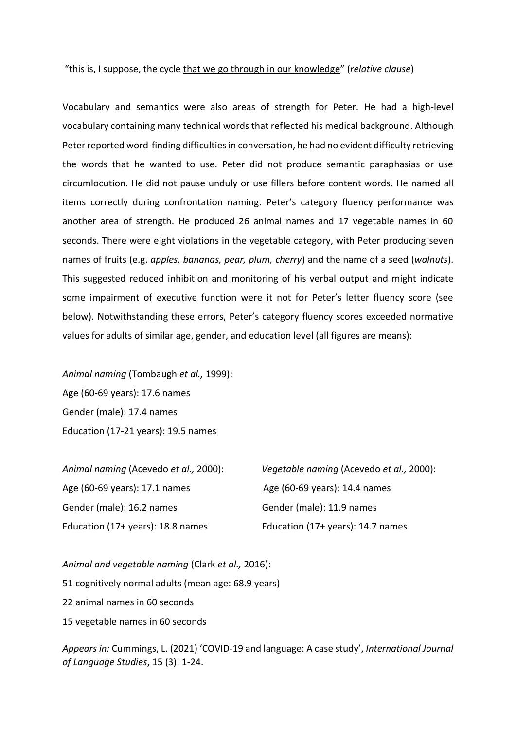#### "this is, I suppose, the cycle that we go through in our knowledge" (*relative clause*)

Vocabulary and semantics were also areas of strength for Peter. He had a high-level vocabulary containing many technical words that reflected his medical background. Although Peter reported word-finding difficulties in conversation, he had no evident difficulty retrieving the words that he wanted to use. Peter did not produce semantic paraphasias or use circumlocution. He did not pause unduly or use fillers before content words. He named all items correctly during confrontation naming. Peter's category fluency performance was another area of strength. He produced 26 animal names and 17 vegetable names in 60 seconds. There were eight violations in the vegetable category, with Peter producing seven names of fruits (e.g. *apples, bananas, pear, plum, cherry*) and the name of a seed (*walnuts*). This suggested reduced inhibition and monitoring of his verbal output and might indicate some impairment of executive function were it not for Peter's letter fluency score (see below). Notwithstanding these errors, Peter's category fluency scores exceeded normative values for adults of similar age, gender, and education level (all figures are means):

*Animal naming* (Tombaugh *et al.,* 1999): Age (60-69 years): 17.6 names Gender (male): 17.4 names Education (17-21 years): 19.5 names

| Animal naming (Acevedo et al., 2000): | Vegetable naming (Acevedo et al., 2000): |
|---------------------------------------|------------------------------------------|
| Age (60-69 years): 17.1 names         | Age (60-69 years): 14.4 names            |
| Gender (male): 16.2 names             | Gender (male): 11.9 names                |
| Education (17+ years): 18.8 names     | Education (17+ years): 14.7 names        |

*Animal and vegetable naming* (Clark *et al.,* 2016): 51 cognitively normal adults (mean age: 68.9 years) 22 animal names in 60 seconds 15 vegetable names in 60 seconds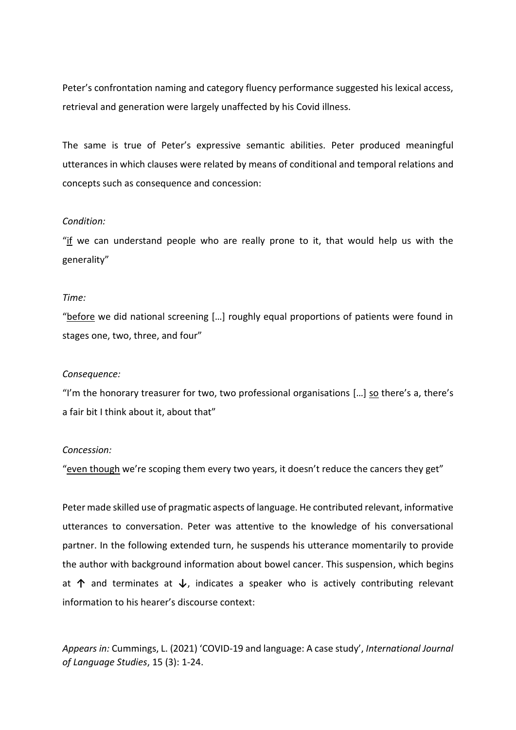Peter's confrontation naming and category fluency performance suggested his lexical access, retrieval and generation were largely unaffected by his Covid illness.

The same is true of Peter's expressive semantic abilities. Peter produced meaningful utterances in which clauses were related by means of conditional and temporal relations and concepts such as consequence and concession:

#### *Condition:*

"if we can understand people who are really prone to it, that would help us with the generality"

#### *Time:*

"before we did national screening […] roughly equal proportions of patients were found in stages one, two, three, and four"

#### *Consequence:*

"I'm the honorary treasurer for two, two professional organisations  $[...]$  so there's a, there's a fair bit I think about it, about that"

### *Concession:*

"even though we're scoping them every two years, it doesn't reduce the cancers they get"

Peter made skilled use of pragmatic aspects of language. He contributed relevant, informative utterances to conversation. Peter was attentive to the knowledge of his conversational partner. In the following extended turn, he suspends his utterance momentarily to provide the author with background information about bowel cancer. This suspension, which begins at **↑** and terminates at **↓**, indicates a speaker who is actively contributing relevant information to his hearer's discourse context: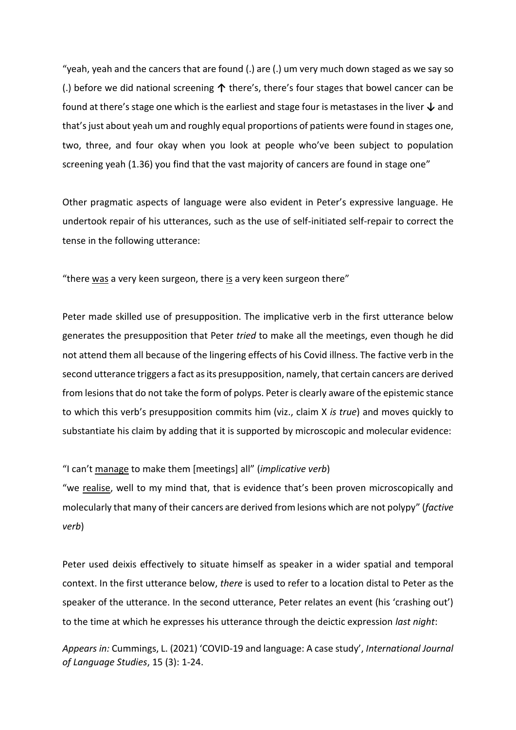"yeah, yeah and the cancers that are found (.) are (.) um very much down staged as we say so (.) before we did national screening **↑** there's, there's four stages that bowel cancer can be found at there's stage one which is the earliest and stage four is metastases in the liver **↓** and that's just about yeah um and roughly equal proportions of patients were found in stages one, two, three, and four okay when you look at people who've been subject to population screening yeah (1.36) you find that the vast majority of cancers are found in stage one"

Other pragmatic aspects of language were also evident in Peter's expressive language. He undertook repair of his utterances, such as the use of self-initiated self-repair to correct the tense in the following utterance:

"there was a very keen surgeon, there is a very keen surgeon there"

Peter made skilled use of presupposition. The implicative verb in the first utterance below generates the presupposition that Peter *tried* to make all the meetings, even though he did not attend them all because of the lingering effects of his Covid illness. The factive verb in the second utterance triggers a fact as its presupposition, namely, that certain cancers are derived from lesions that do not take the form of polyps. Peter is clearly aware of the epistemic stance to which this verb's presupposition commits him (viz., claim X *is true*) and moves quickly to substantiate his claim by adding that it is supported by microscopic and molecular evidence:

"I can't manage to make them [meetings] all" (*implicative verb*)

"we realise, well to my mind that, that is evidence that's been proven microscopically and molecularly that many of their cancers are derived from lesions which are not polypy" (*factive verb*)

Peter used deixis effectively to situate himself as speaker in a wider spatial and temporal context. In the first utterance below, *there* is used to refer to a location distal to Peter as the speaker of the utterance. In the second utterance, Peter relates an event (his 'crashing out') to the time at which he expresses his utterance through the deictic expression *last night*: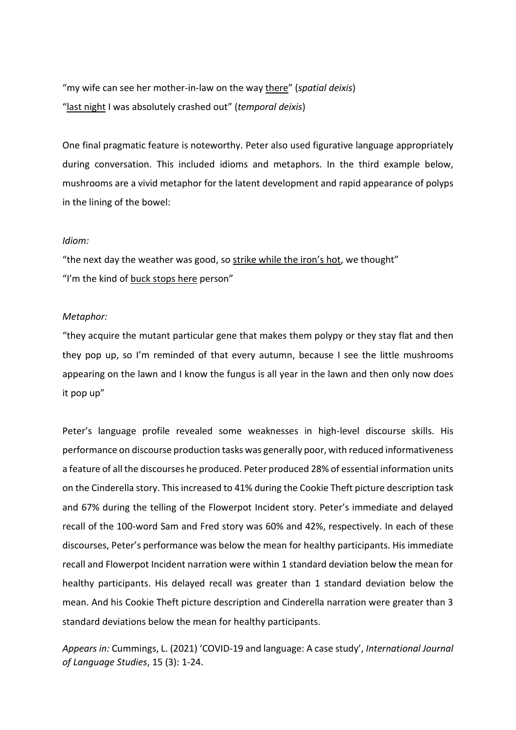"my wife can see her mother-in-law on the way there" (*spatial deixis*) "last night I was absolutely crashed out" (*temporal deixis*)

One final pragmatic feature is noteworthy. Peter also used figurative language appropriately during conversation. This included idioms and metaphors. In the third example below, mushrooms are a vivid metaphor for the latent development and rapid appearance of polyps in the lining of the bowel:

#### *Idiom:*

"the next day the weather was good, so strike while the iron's hot, we thought" "I'm the kind of buck stops here person"

### *Metaphor:*

"they acquire the mutant particular gene that makes them polypy or they stay flat and then they pop up, so I'm reminded of that every autumn, because I see the little mushrooms appearing on the lawn and I know the fungus is all year in the lawn and then only now does it pop up"

Peter's language profile revealed some weaknesses in high-level discourse skills. His performance on discourse production tasks was generally poor, with reduced informativeness a feature of all the discourses he produced. Peter produced 28% of essential information units on the Cinderella story. This increased to 41% during the Cookie Theft picture description task and 67% during the telling of the Flowerpot Incident story. Peter's immediate and delayed recall of the 100-word Sam and Fred story was 60% and 42%, respectively. In each of these discourses, Peter's performance was below the mean for healthy participants. His immediate recall and Flowerpot Incident narration were within 1 standard deviation below the mean for healthy participants. His delayed recall was greater than 1 standard deviation below the mean. And his Cookie Theft picture description and Cinderella narration were greater than 3 standard deviations below the mean for healthy participants.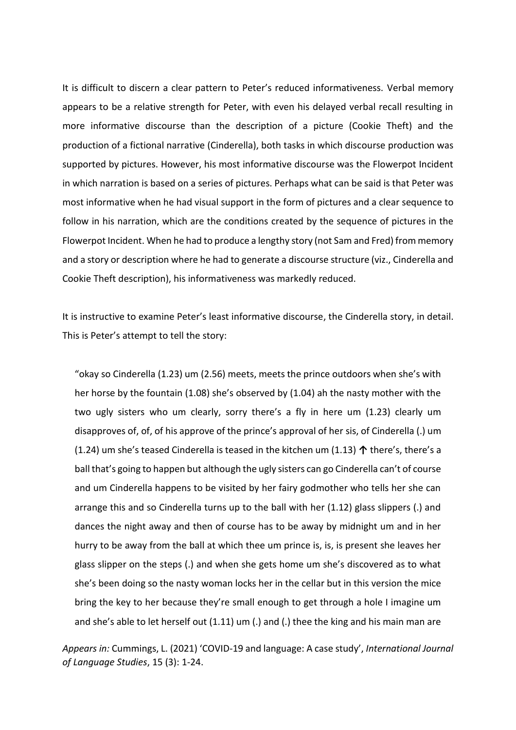It is difficult to discern a clear pattern to Peter's reduced informativeness. Verbal memory appears to be a relative strength for Peter, with even his delayed verbal recall resulting in more informative discourse than the description of a picture (Cookie Theft) and the production of a fictional narrative (Cinderella), both tasks in which discourse production was supported by pictures. However, his most informative discourse was the Flowerpot Incident in which narration is based on a series of pictures. Perhaps what can be said is that Peter was most informative when he had visual support in the form of pictures and a clear sequence to follow in his narration, which are the conditions created by the sequence of pictures in the Flowerpot Incident. When he had to produce a lengthy story (not Sam and Fred) from memory and a story or description where he had to generate a discourse structure (viz., Cinderella and Cookie Theft description), his informativeness was markedly reduced.

It is instructive to examine Peter's least informative discourse, the Cinderella story, in detail. This is Peter's attempt to tell the story:

"okay so Cinderella (1.23) um (2.56) meets, meets the prince outdoors when she's with her horse by the fountain (1.08) she's observed by (1.04) ah the nasty mother with the two ugly sisters who um clearly, sorry there's a fly in here um (1.23) clearly um disapproves of, of, of his approve of the prince's approval of her sis, of Cinderella (.) um (1.24) um she's teased Cinderella is teased in the kitchen um (1.13) **↑** there's, there's a ball that's going to happen but although the ugly sisters can go Cinderella can't of course and um Cinderella happens to be visited by her fairy godmother who tells her she can arrange this and so Cinderella turns up to the ball with her (1.12) glass slippers (.) and dances the night away and then of course has to be away by midnight um and in her hurry to be away from the ball at which thee um prince is, is, is present she leaves her glass slipper on the steps (.) and when she gets home um she's discovered as to what she's been doing so the nasty woman locks her in the cellar but in this version the mice bring the key to her because they're small enough to get through a hole I imagine um and she's able to let herself out (1.11) um (.) and (.) thee the king and his main man are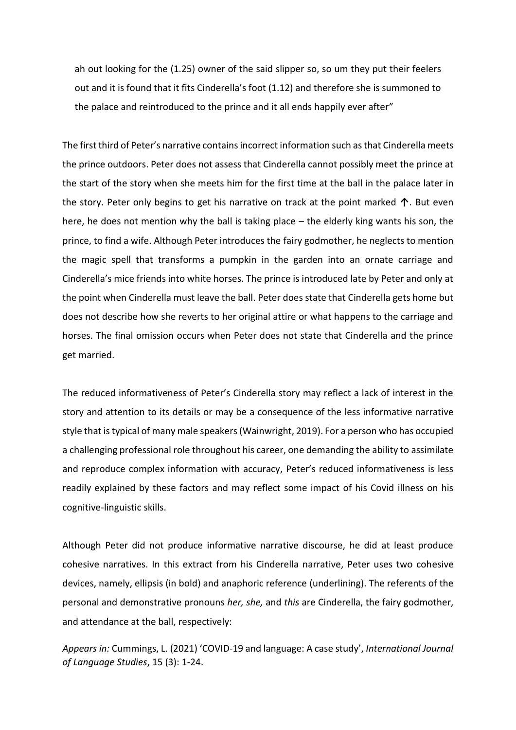ah out looking for the (1.25) owner of the said slipper so, so um they put their feelers out and it is found that it fits Cinderella's foot (1.12) and therefore she is summoned to the palace and reintroduced to the prince and it all ends happily ever after"

The first third of Peter's narrative contains incorrect information such as that Cinderella meets the prince outdoors. Peter does not assess that Cinderella cannot possibly meet the prince at the start of the story when she meets him for the first time at the ball in the palace later in the story. Peter only begins to get his narrative on track at the point marked **↑**. But even here, he does not mention why the ball is taking place – the elderly king wants his son, the prince, to find a wife. Although Peter introduces the fairy godmother, he neglects to mention the magic spell that transforms a pumpkin in the garden into an ornate carriage and Cinderella's mice friends into white horses. The prince is introduced late by Peter and only at the point when Cinderella must leave the ball. Peter does state that Cinderella gets home but does not describe how she reverts to her original attire or what happens to the carriage and horses. The final omission occurs when Peter does not state that Cinderella and the prince get married.

The reduced informativeness of Peter's Cinderella story may reflect a lack of interest in the story and attention to its details or may be a consequence of the less informative narrative style that is typical of many male speakers(Wainwright, 2019). For a person who has occupied a challenging professional role throughout his career, one demanding the ability to assimilate and reproduce complex information with accuracy, Peter's reduced informativeness is less readily explained by these factors and may reflect some impact of his Covid illness on his cognitive-linguistic skills.

Although Peter did not produce informative narrative discourse, he did at least produce cohesive narratives. In this extract from his Cinderella narrative, Peter uses two cohesive devices, namely, ellipsis (in bold) and anaphoric reference (underlining). The referents of the personal and demonstrative pronouns *her, she,* and *this* are Cinderella, the fairy godmother, and attendance at the ball, respectively: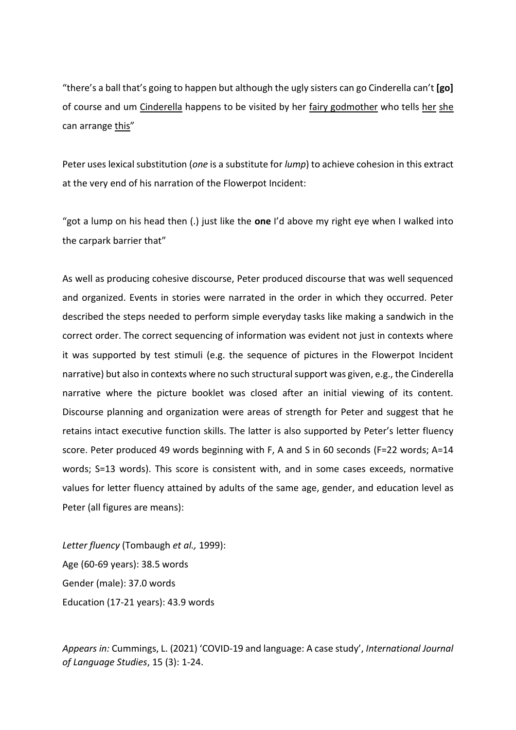"there's a ball that's going to happen but although the ugly sisters can go Cinderella can't **[go]** of course and um Cinderella happens to be visited by her fairy godmother who tells her she can arrange this"

Peter uses lexical substitution (*one* is a substitute for *lump*) to achieve cohesion in this extract at the very end of his narration of the Flowerpot Incident:

"got a lump on his head then (.) just like the **one** I'd above my right eye when I walked into the carpark barrier that"

As well as producing cohesive discourse, Peter produced discourse that was well sequenced and organized. Events in stories were narrated in the order in which they occurred. Peter described the steps needed to perform simple everyday tasks like making a sandwich in the correct order. The correct sequencing of information was evident not just in contexts where it was supported by test stimuli (e.g. the sequence of pictures in the Flowerpot Incident narrative) but also in contexts where no such structural support was given, e.g., the Cinderella narrative where the picture booklet was closed after an initial viewing of its content. Discourse planning and organization were areas of strength for Peter and suggest that he retains intact executive function skills. The latter is also supported by Peter's letter fluency score. Peter produced 49 words beginning with F, A and S in 60 seconds (F=22 words; A=14 words; S=13 words). This score is consistent with, and in some cases exceeds, normative values for letter fluency attained by adults of the same age, gender, and education level as Peter (all figures are means):

*Letter fluency* (Tombaugh *et al.,* 1999): Age (60-69 years): 38.5 words Gender (male): 37.0 words Education (17-21 years): 43.9 words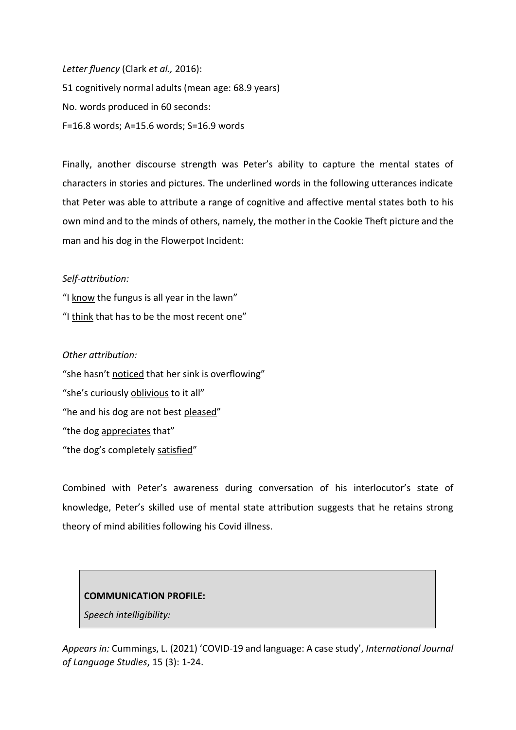*Letter fluency* (Clark *et al.,* 2016): 51 cognitively normal adults (mean age: 68.9 years) No. words produced in 60 seconds: F=16.8 words; A=15.6 words; S=16.9 words

Finally, another discourse strength was Peter's ability to capture the mental states of characters in stories and pictures. The underlined words in the following utterances indicate that Peter was able to attribute a range of cognitive and affective mental states both to his own mind and to the minds of others, namely, the mother in the Cookie Theft picture and the man and his dog in the Flowerpot Incident:

## *Self-attribution:*

"I know the fungus is all year in the lawn" "I think that has to be the most recent one"

## *Other attribution:*

"she hasn't noticed that her sink is overflowing" "she's curiously oblivious to it all" "he and his dog are not best pleased" "the dog appreciates that" "the dog's completely satisfied"

Combined with Peter's awareness during conversation of his interlocutor's state of knowledge, Peter's skilled use of mental state attribution suggests that he retains strong theory of mind abilities following his Covid illness.

### **COMMUNICATION PROFILE:**

*Speech intelligibility:*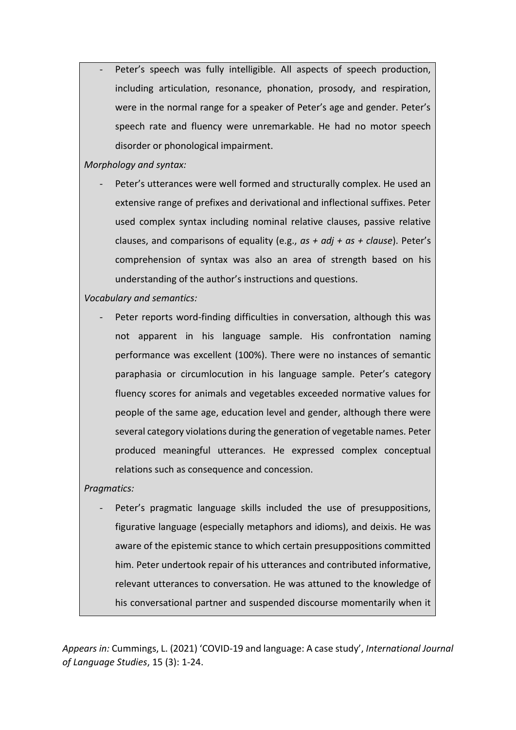Peter's speech was fully intelligible. All aspects of speech production, including articulation, resonance, phonation, prosody, and respiration, were in the normal range for a speaker of Peter's age and gender. Peter's speech rate and fluency were unremarkable. He had no motor speech disorder or phonological impairment.

*Morphology and syntax:*

Peter's utterances were well formed and structurally complex. He used an extensive range of prefixes and derivational and inflectional suffixes. Peter used complex syntax including nominal relative clauses, passive relative clauses, and comparisons of equality (e.g., *as + adj + as + clause*). Peter's comprehension of syntax was also an area of strength based on his understanding of the author's instructions and questions.

*Vocabulary and semantics:*

Peter reports word-finding difficulties in conversation, although this was not apparent in his language sample. His confrontation naming performance was excellent (100%). There were no instances of semantic paraphasia or circumlocution in his language sample. Peter's category fluency scores for animals and vegetables exceeded normative values for people of the same age, education level and gender, although there were several category violations during the generation of vegetable names. Peter produced meaningful utterances. He expressed complex conceptual relations such as consequence and concession.

## *Pragmatics:*

Peter's pragmatic language skills included the use of presuppositions, figurative language (especially metaphors and idioms), and deixis. He was aware of the epistemic stance to which certain presuppositions committed him. Peter undertook repair of his utterances and contributed informative, relevant utterances to conversation. He was attuned to the knowledge of his conversational partner and suspended discourse momentarily when it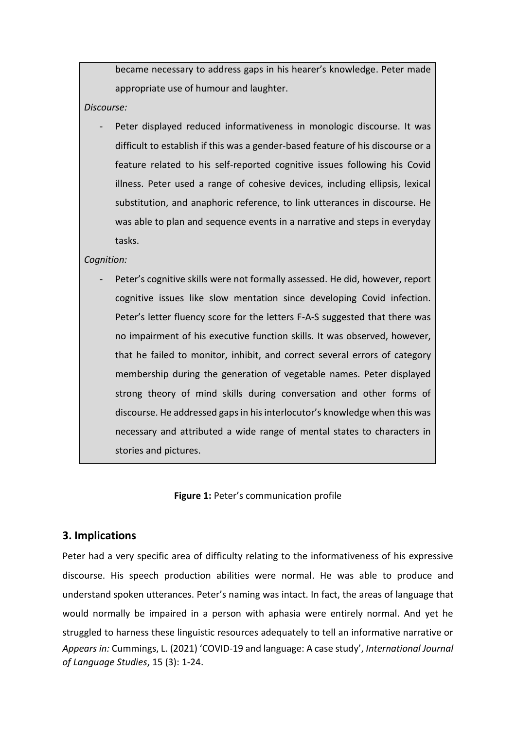became necessary to address gaps in his hearer's knowledge. Peter made appropriate use of humour and laughter.

*Discourse:*

Peter displayed reduced informativeness in monologic discourse. It was difficult to establish if this was a gender-based feature of his discourse or a feature related to his self-reported cognitive issues following his Covid illness. Peter used a range of cohesive devices, including ellipsis, lexical substitution, and anaphoric reference, to link utterances in discourse. He was able to plan and sequence events in a narrative and steps in everyday tasks.

### *Cognition:*

Peter's cognitive skills were not formally assessed. He did, however, report cognitive issues like slow mentation since developing Covid infection. Peter's letter fluency score for the letters F-A-S suggested that there was no impairment of his executive function skills. It was observed, however, that he failed to monitor, inhibit, and correct several errors of category membership during the generation of vegetable names. Peter displayed strong theory of mind skills during conversation and other forms of discourse. He addressed gaps in his interlocutor's knowledge when this was necessary and attributed a wide range of mental states to characters in stories and pictures.

**Figure 1:** Peter's communication profile

# **3. Implications**

*Appears in:* Cummings, L. (2021) 'COVID-19 and language: A case study', *International Journal of Language Studies*, 15 (3): 1-24. Peter had a very specific area of difficulty relating to the informativeness of his expressive discourse. His speech production abilities were normal. He was able to produce and understand spoken utterances. Peter's naming was intact. In fact, the areas of language that would normally be impaired in a person with aphasia were entirely normal. And yet he struggled to harness these linguistic resources adequately to tell an informative narrative or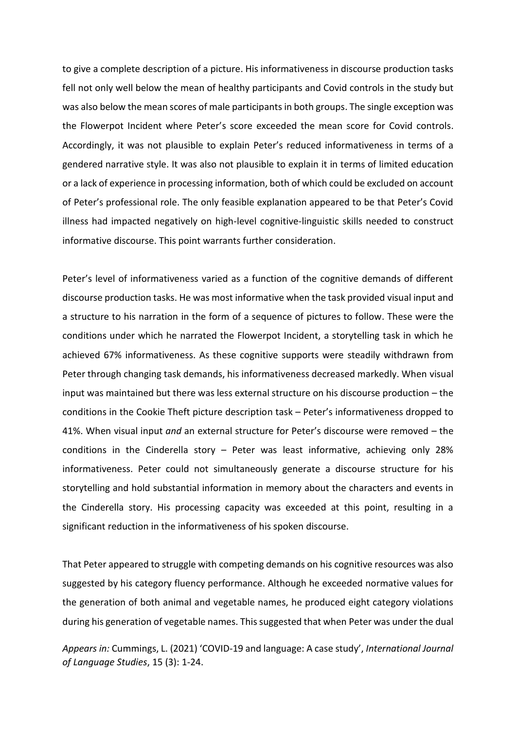to give a complete description of a picture. His informativeness in discourse production tasks fell not only well below the mean of healthy participants and Covid controls in the study but was also below the mean scores of male participants in both groups. The single exception was the Flowerpot Incident where Peter's score exceeded the mean score for Covid controls. Accordingly, it was not plausible to explain Peter's reduced informativeness in terms of a gendered narrative style. It was also not plausible to explain it in terms of limited education or a lack of experience in processing information, both of which could be excluded on account of Peter's professional role. The only feasible explanation appeared to be that Peter's Covid illness had impacted negatively on high-level cognitive-linguistic skills needed to construct informative discourse. This point warrants further consideration.

Peter's level of informativeness varied as a function of the cognitive demands of different discourse production tasks. He was most informative when the task provided visual input and a structure to his narration in the form of a sequence of pictures to follow. These were the conditions under which he narrated the Flowerpot Incident, a storytelling task in which he achieved 67% informativeness. As these cognitive supports were steadily withdrawn from Peter through changing task demands, his informativeness decreased markedly. When visual input was maintained but there was less external structure on his discourse production – the conditions in the Cookie Theft picture description task – Peter's informativeness dropped to 41%. When visual input *and* an external structure for Peter's discourse were removed – the conditions in the Cinderella story – Peter was least informative, achieving only 28% informativeness. Peter could not simultaneously generate a discourse structure for his storytelling and hold substantial information in memory about the characters and events in the Cinderella story. His processing capacity was exceeded at this point, resulting in a significant reduction in the informativeness of his spoken discourse.

That Peter appeared to struggle with competing demands on his cognitive resources was also suggested by his category fluency performance. Although he exceeded normative values for the generation of both animal and vegetable names, he produced eight category violations during his generation of vegetable names. This suggested that when Peter was under the dual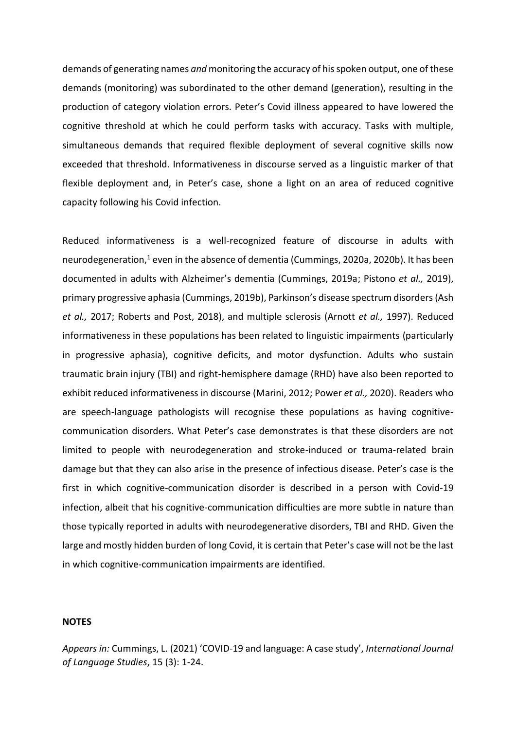demands of generating names *and* monitoring the accuracy of his spoken output, one of these demands (monitoring) was subordinated to the other demand (generation), resulting in the production of category violation errors. Peter's Covid illness appeared to have lowered the cognitive threshold at which he could perform tasks with accuracy. Tasks with multiple, simultaneous demands that required flexible deployment of several cognitive skills now exceeded that threshold. Informativeness in discourse served as a linguistic marker of that flexible deployment and, in Peter's case, shone a light on an area of reduced cognitive capacity following his Covid infection.

Reduced informativeness is a well-recognized feature of discourse in adults with neurodegeneration, <sup>1</sup> even in the absence of dementia (Cummings, 2020a, 2020b). It has been documented in adults with Alzheimer's dementia (Cummings, 2019a; Pistono *et al.,* 2019), primary progressive aphasia (Cummings, 2019b), Parkinson's disease spectrum disorders(Ash *et al.,* 2017; Roberts and Post, 2018), and multiple sclerosis (Arnott *et al.,* 1997). Reduced informativeness in these populations has been related to linguistic impairments (particularly in progressive aphasia), cognitive deficits, and motor dysfunction. Adults who sustain traumatic brain injury (TBI) and right-hemisphere damage (RHD) have also been reported to exhibit reduced informativeness in discourse (Marini, 2012; Power *et al.,* 2020). Readers who are speech-language pathologists will recognise these populations as having cognitivecommunication disorders. What Peter's case demonstrates is that these disorders are not limited to people with neurodegeneration and stroke-induced or trauma-related brain damage but that they can also arise in the presence of infectious disease. Peter's case is the first in which cognitive-communication disorder is described in a person with Covid-19 infection, albeit that his cognitive-communication difficulties are more subtle in nature than those typically reported in adults with neurodegenerative disorders, TBI and RHD. Given the large and mostly hidden burden of long Covid, it is certain that Peter's case will not be the last in which cognitive-communication impairments are identified.

#### **NOTES**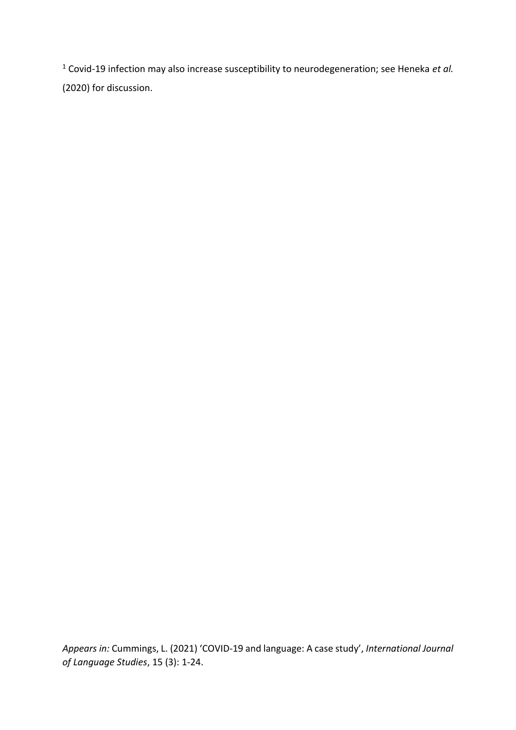<sup>1</sup> Covid-19 infection may also increase susceptibility to neurodegeneration; see Heneka *et al.* (2020) for discussion.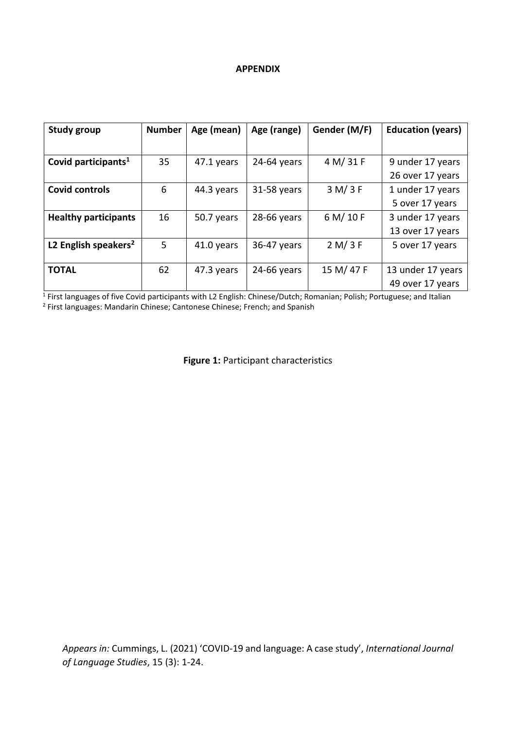### **APPENDIX**

| <b>Study group</b>               | <b>Number</b> | Age (mean) | Age (range)   | Gender (M/F) | <b>Education (years)</b> |
|----------------------------------|---------------|------------|---------------|--------------|--------------------------|
|                                  |               |            |               |              |                          |
| Covid participants <sup>1</sup>  | 35            | 47.1 years | $24-64$ years | 4 M/31 F     | 9 under 17 years         |
|                                  |               |            |               |              | 26 over 17 years         |
| <b>Covid controls</b>            | 6             | 44.3 years | 31-58 years   | 3 M/ 3 F     | 1 under 17 years         |
|                                  |               |            |               |              | 5 over 17 years          |
| <b>Healthy participants</b>      | 16            | 50.7 years | 28-66 years   | 6 M/10 F     | 3 under 17 years         |
|                                  |               |            |               |              | 13 over 17 years         |
| L2 English speakers <sup>2</sup> | 5             | 41.0 years | 36-47 years   | 2 M/3 F      | 5 over 17 years          |
|                                  |               |            |               |              |                          |
| <b>TOTAL</b>                     | 62            | 47.3 years | 24-66 years   | 15 M/47 F    | 13 under 17 years        |
|                                  |               |            |               |              | 49 over 17 years         |

<sup>1</sup> First languages of five Covid participants with L2 English: Chinese/Dutch; Romanian; Polish; Portuguese; and Italian<br><sup>2</sup> First languages: Mandarin Chinese; Cantonese Chinese; French; and Spanish

**Figure 1:** Participant characteristics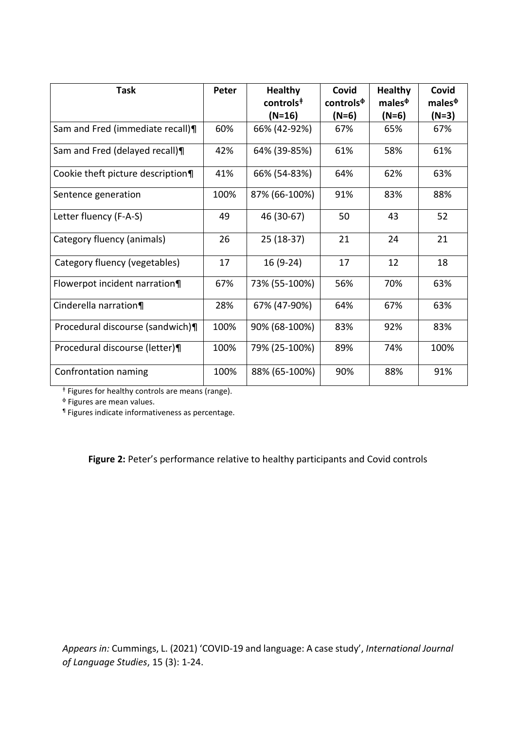| <b>Task</b>                       | Peter | <b>Healthy</b><br>controls <sup>#</sup> | Covid<br>controls <sup><math>\Phi</math></sup> | <b>Healthy</b><br>males $\Phi$ | Covid<br>males <sup>Φ</sup> |
|-----------------------------------|-------|-----------------------------------------|------------------------------------------------|--------------------------------|-----------------------------|
|                                   |       | $(N=16)$                                | $(N=6)$                                        | $(N=6)$                        | $(N=3)$                     |
| Sam and Fred (immediate recall)¶  | 60%   | 66% (42-92%)                            | 67%                                            | 65%                            | 67%                         |
| Sam and Fred (delayed recall)¶    | 42%   | 64% (39-85%)                            | 61%                                            | 58%                            | 61%                         |
| Cookie theft picture description¶ | 41%   | 66% (54-83%)                            | 64%                                            | 62%                            | 63%                         |
| Sentence generation               | 100%  | 87% (66-100%)                           | 91%                                            | 83%                            | 88%                         |
| Letter fluency (F-A-S)            | 49    | 46 (30-67)                              | 50                                             | 43                             | 52                          |
| Category fluency (animals)        | 26    | 25 (18-37)                              | 21                                             | 24                             | 21                          |
| Category fluency (vegetables)     | 17    | 16 (9-24)                               | 17                                             | 12                             | 18                          |
| Flowerpot incident narration¶     | 67%   | 73% (55-100%)                           | 56%                                            | 70%                            | 63%                         |
| Cinderella narration¶             | 28%   | 67% (47-90%)                            | 64%                                            | 67%                            | 63%                         |
| Procedural discourse (sandwich)¶  | 100%  | 90% (68-100%)                           | 83%                                            | 92%                            | 83%                         |
| Procedural discourse (letter)¶    | 100%  | 79% (25-100%)                           | 89%                                            | 74%                            | 100%                        |
| Confrontation naming              | 100%  | 88% (65-100%)                           | 90%                                            | 88%                            | 91%                         |

ǂ Figures for healthy controls are means (range).

ф Figures are mean values.

¶ Figures indicate informativeness as percentage.

**Figure 2:** Peter's performance relative to healthy participants and Covid controls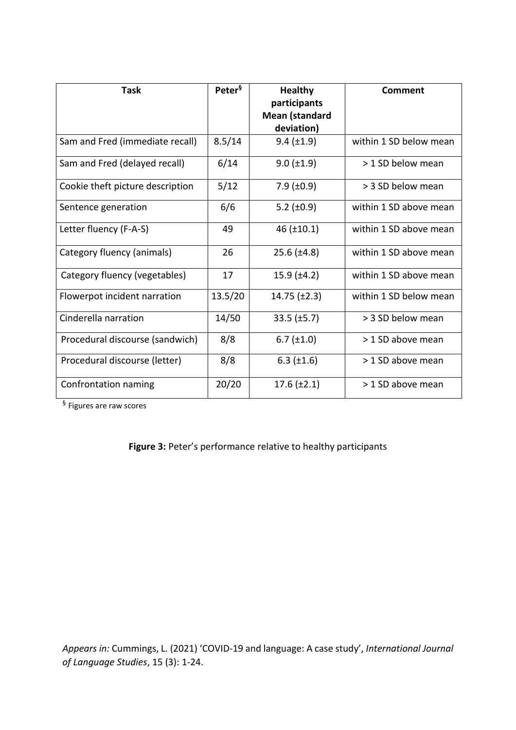| <b>Task</b>                      | Peter <sup>§</sup> | <b>Healthy</b><br>participants | Comment                |
|----------------------------------|--------------------|--------------------------------|------------------------|
|                                  |                    | <b>Mean (standard</b>          |                        |
|                                  |                    | deviation)                     |                        |
| Sam and Fred (immediate recall)  | 8.5/14             | $9.4 \ (\pm 1.9)$              | within 1 SD below mean |
| Sam and Fred (delayed recall)    | 6/14               | $9.0 \ (\pm 1.9)$              | > 1 SD below mean      |
| Cookie theft picture description | 5/12               | $7.9$ ( $\pm 0.9$ )            | > 3 SD below mean      |
| Sentence generation              | 6/6                | $5.2 \ (\pm 0.9)$              | within 1 SD above mean |
| Letter fluency (F-A-S)           | 49                 | $46$ ( $\pm 10.1$ )            | within 1 SD above mean |
| Category fluency (animals)       | 26                 | $25.6 \, (\pm 4.8)$            | within 1 SD above mean |
| Category fluency (vegetables)    | 17                 | $15.9$ ( $\pm 4.2$ )           | within 1 SD above mean |
| Flowerpot incident narration     | 13.5/20            | $14.75$ ( $\pm 2.3$ )          | within 1 SD below mean |
| Cinderella narration             | 14/50              | $33.5$ ( $\pm 5.7$ )           | > 3 SD below mean      |
| Procedural discourse (sandwich)  | 8/8                | $6.7$ ( $\pm 1.0$ )            | > 1 SD above mean      |
| Procedural discourse (letter)    | 8/8                | $6.3$ ( $\pm 1.6$ )            | > 1 SD above mean      |
| Confrontation naming             | 20/20              | $17.6 \ (\pm 2.1)$             | > 1 SD above mean      |

<sup>§</sup> Figures are raw scores

**Figure 3:** Peter's performance relative to healthy participants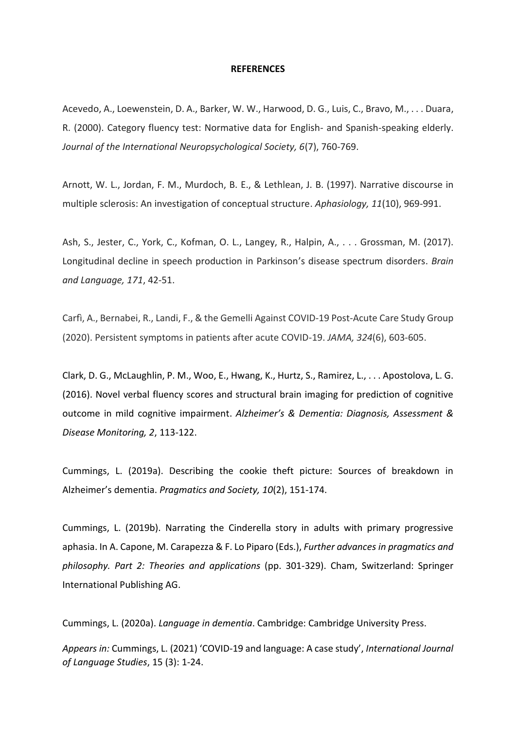#### **REFERENCES**

Acevedo, A., Loewenstein, D. A., Barker, W. W., Harwood, D. G., Luis, C., Bravo, M., . . . Duara, R. (2000). Category fluency test: Normative data for English- and Spanish-speaking elderly. *Journal of the International Neuropsychological Society, 6*(7), 760-769.

Arnott, W. L., Jordan, F. M., Murdoch, B. E., & Lethlean, J. B. (1997). Narrative discourse in multiple sclerosis: An investigation of conceptual structure. *Aphasiology, 11*(10), 969-991.

Ash, S., Jester, C., York, C., Kofman, O. L., Langey, R., Halpin, A., . . . Grossman, M. (2017). Longitudinal decline in speech production in Parkinson's disease spectrum disorders. *Brain and Language, 171*, 42-51.

Carfì, A., Bernabei, R., Landi, F., & the Gemelli Against COVID-19 Post-Acute Care Study Group (2020). Persistent symptoms in patients after acute COVID-19. *JAMA, 324*(6), 603-605.

Clark, D. G., McLaughlin, P. M., Woo, E., Hwang, K., Hurtz, S., Ramirez, L., . . . Apostolova, L. G. (2016). Novel verbal fluency scores and structural brain imaging for prediction of cognitive outcome in mild cognitive impairment. *Alzheimer's & Dementia: Diagnosis, Assessment & Disease Monitoring, 2*, 113-122.

Cummings, L. (2019a). Describing the cookie theft picture: Sources of breakdown in Alzheimer's dementia. *Pragmatics and Society, 10*(2), 151-174.

Cummings, L. (2019b). Narrating the Cinderella story in adults with primary progressive aphasia. In A. Capone, M. Carapezza & F. Lo Piparo (Eds.), *Further advances in pragmatics and philosophy. Part 2: Theories and applications* (pp. 301-329). Cham, Switzerland: Springer International Publishing AG.

Cummings, L. (2020a). *Language in dementia*. Cambridge: Cambridge University Press.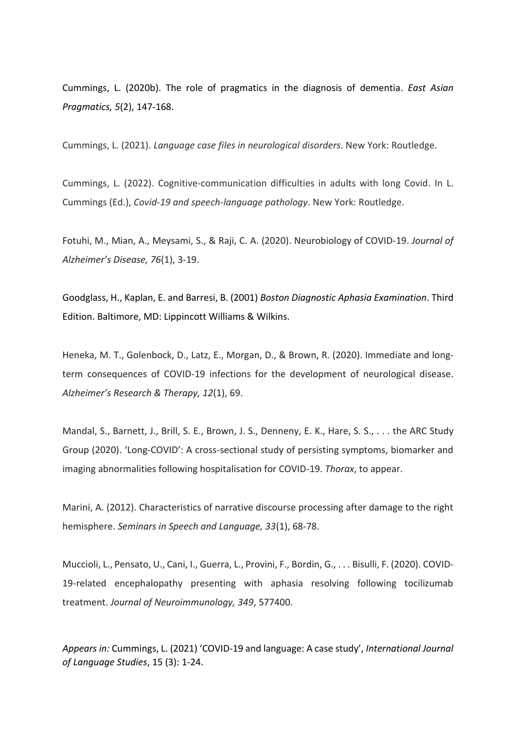Cummings, L. (2020b). The role of pragmatics in the diagnosis of dementia. *East Asian Pragmatics, 5*(2), 147-168.

Cummings, L. (2021). *Language case files in neurological disorders*. New York: Routledge.

Cummings, L. (2022). Cognitive-communication difficulties in adults with long Covid. In L. Cummings (Ed.), *Covid-19 and speech-language pathology*. New York: Routledge.

Fotuhi, M., Mian, A., Meysami, S., & Raji, C. A. (2020). Neurobiology of COVID-19. *Journal of Alzheimer's Disease, 76*(1), 3-19.

Goodglass, H., Kaplan, E. and Barresi, B. (2001) *Boston Diagnostic Aphasia Examination*. Third Edition. Baltimore, MD: Lippincott Williams & Wilkins.

Heneka, M. T., Golenbock, D., Latz, E., Morgan, D., & Brown, R. (2020). Immediate and longterm consequences of COVID-19 infections for the development of neurological disease. *Alzheimer's Research & Therapy, 12*(1), 69.

Mandal, S., Barnett, J., Brill, S. E., Brown, J. S., Denneny, E. K., Hare, S. S., . . . the ARC Study Group (2020). ʻLong-COVID': A cross-sectional study of persisting symptoms, biomarker and imaging abnormalities following hospitalisation for COVID-19. *Thorax*, to appear.

Marini, A. (2012). Characteristics of narrative discourse processing after damage to the right hemisphere. *Seminars in Speech and Language, 33*(1), 68-78.

Muccioli, L., Pensato, U., Cani, I., Guerra, L., Provini, F., Bordin, G., . . . Bisulli, F. (2020). COVID-19-related encephalopathy presenting with aphasia resolving following tocilizumab treatment. *Journal of Neuroimmunology, 349*, 577400.